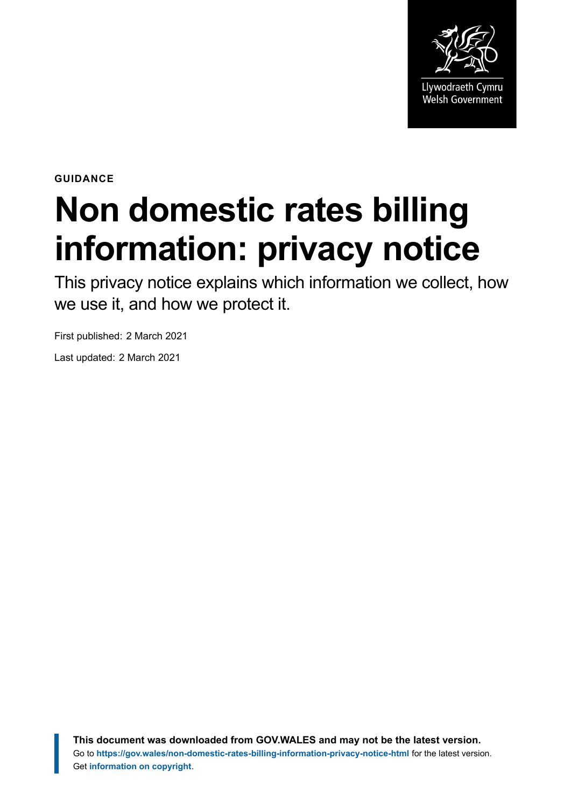

**GUIDANCE**

# **Non domestic rates billing information: privacy notice**

This privacy notice explains which information we collect, how we use it, and how we protect it.

First published: 2 March 2021

Last updated: 2 March 2021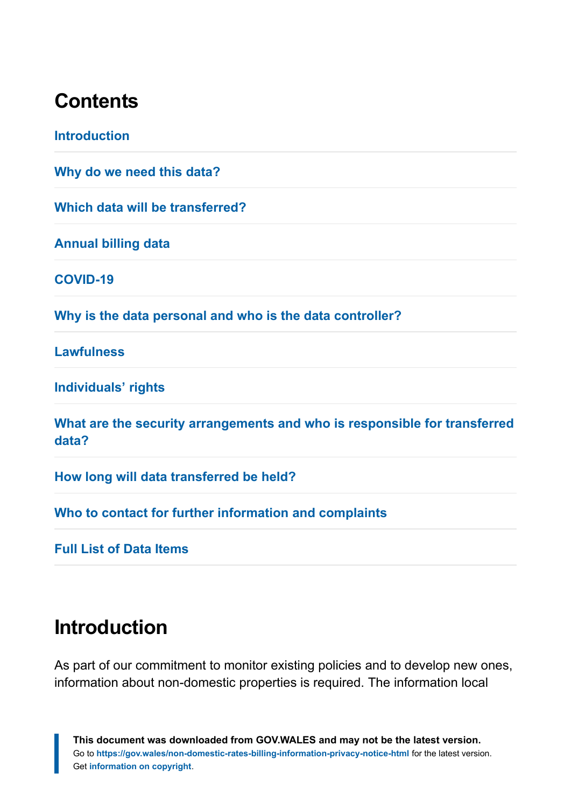#### **Contents**

**[Introduction](#page-1-0) [Why do we need this data?](#page-2-0) [Which data will be transferred?](#page-2-1) [Annual billing data](#page-2-2) [COVID-19](#page-3-0) [Why is the data personal and who is the data controller?](#page-3-1) [Lawfulness](#page-4-0) [Individuals' rights](#page-4-1) [What are the security arrangements and who is responsible for transferred](#page-5-0) [data?](#page-5-0) [How long will data transferred be held?](#page-5-1) [Who to contact for further information and complaints](#page-5-2)**

**[Full List of Data Items](#page-6-0)**

#### <span id="page-1-0"></span>**Introduction**

As part of our commitment to monitor existing policies and to develop new ones, information about non-domestic properties is required. The information local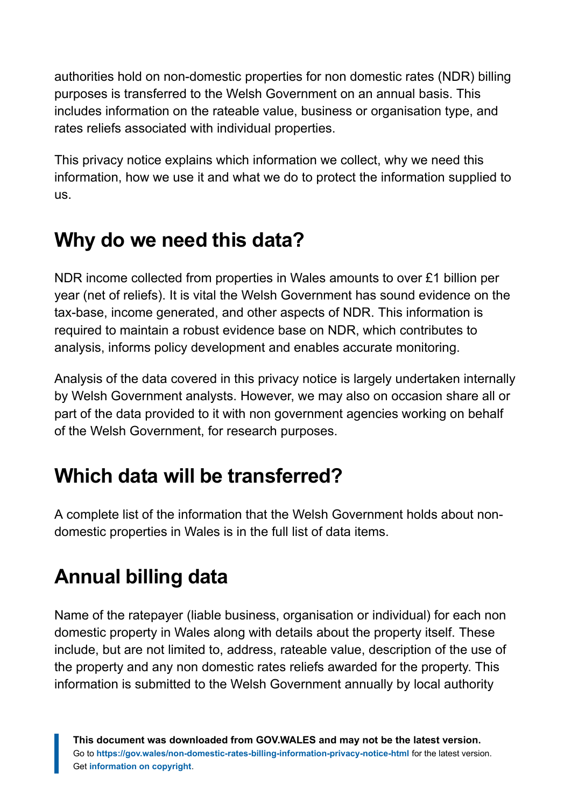authorities hold on non-domestic properties for non domestic rates (NDR) billing purposes is transferred to the Welsh Government on an annual basis. This includes information on the rateable value, business or organisation type, and rates reliefs associated with individual properties.

This privacy notice explains which information we collect, why we need this information, how we use it and what we do to protect the information supplied to us.

## <span id="page-2-0"></span>**Why do we need this data?**

NDR income collected from properties in Wales amounts to over £1 billion per year (net of reliefs). It is vital the Welsh Government has sound evidence on the tax-base, income generated, and other aspects of NDR. This information is required to maintain a robust evidence base on NDR, which contributes to analysis, informs policy development and enables accurate monitoring.

Analysis of the data covered in this privacy notice is largely undertaken internally by Welsh Government analysts. However, we may also on occasion share all or part of the data provided to it with non government agencies working on behalf of the Welsh Government, for research purposes.

## <span id="page-2-1"></span>**Which data will be transferred?**

A complete list of the information that the Welsh Government holds about nondomestic properties in Wales is in the full list of data items.

# <span id="page-2-2"></span>**Annual billing data**

Name of the ratepayer (liable business, organisation or individual) for each non domestic property in Wales along with details about the property itself. These include, but are not limited to, address, rateable value, description of the use of the property and any non domestic rates reliefs awarded for the property. This information is submitted to the Welsh Government annually by local authority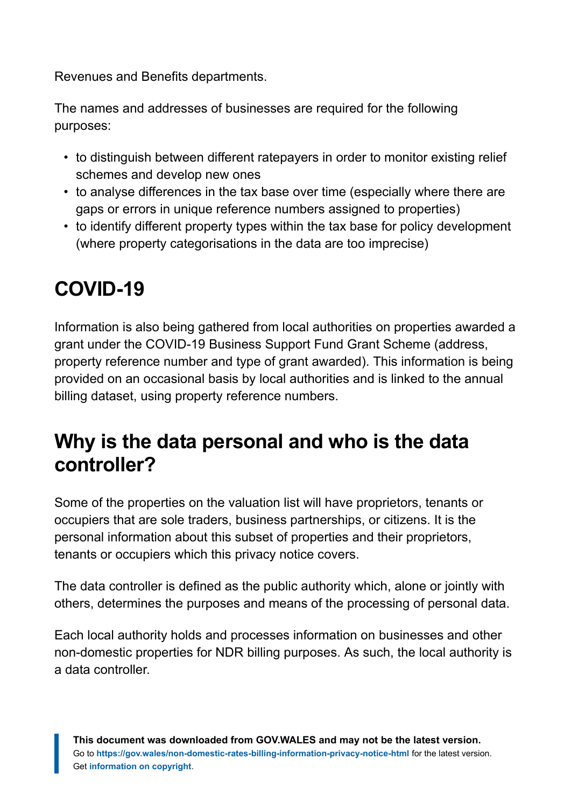Revenues and Benefits departments.

The names and addresses of businesses are required for the following purposes:

- to distinguish between different ratepayers in order to monitor existing relief schemes and develop new ones
- to analyse differences in the tax base over time (especially where there are gaps or errors in unique reference numbers assigned to properties)
- to identify different property types within the tax base for policy development (where property categorisations in the data are too imprecise)

# <span id="page-3-0"></span>**COVID-19**

Information is also being gathered from local authorities on properties awarded a grant under the COVID-19 Business Support Fund Grant Scheme (address, property reference number and type of grant awarded). This information is being provided on an occasional basis by local authorities and is linked to the annual billing dataset, using property reference numbers.

#### <span id="page-3-1"></span>**Why is the data personal and who is the data controller?**

Some of the properties on the valuation list will have proprietors, tenants or occupiers that are sole traders, business partnerships, or citizens. It is the personal information about this subset of properties and their proprietors, tenants or occupiers which this privacy notice covers.

The data controller is defined as the public authority which, alone or jointly with others, determines the purposes and means of the processing of personal data.

Each local authority holds and processes information on businesses and other non-domestic properties for NDR billing purposes. As such, the local authority is a data controller.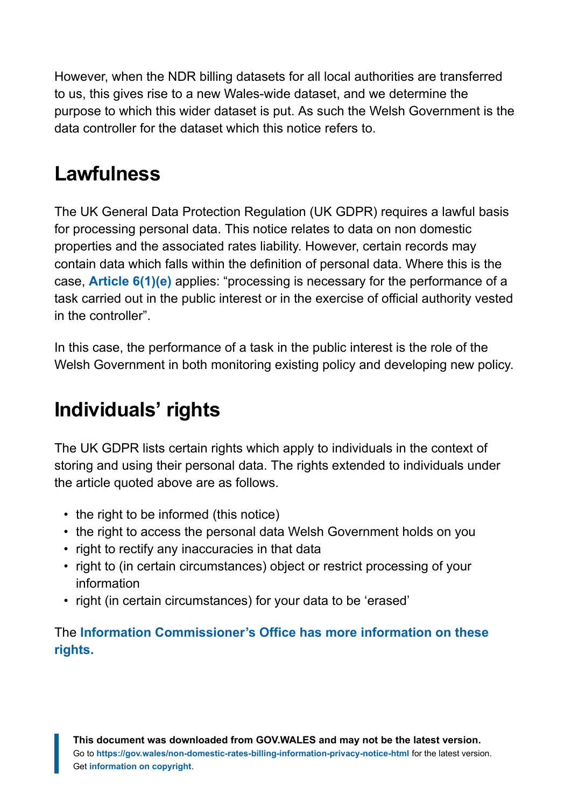However, when the NDR billing datasets for all local authorities are transferred to us, this gives rise to a new Wales-wide dataset, and we determine the purpose to which this wider dataset is put. As such the Welsh Government is the data controller for the dataset which this notice refers to.

#### <span id="page-4-0"></span>**Lawfulness**

The UK General Data Protection Regulation (UK GDPR) requires a lawful basis for processing personal data. This notice relates to data on non domestic properties and the associated rates liability. However, certain records may contain data which falls within the definition of personal data. Where this is the case, **[Article 6\(1\)\(e\)](https://gdpr-info.eu/art-6-gdpr/)** applies: "processing is necessary for the performance of a task carried out in the public interest or in the exercise of official authority vested in the controller".

In this case, the performance of a task in the public interest is the role of the Welsh Government in both monitoring existing policy and developing new policy.

#### <span id="page-4-1"></span>**Individuals' rights**

The UK GDPR lists certain rights which apply to individuals in the context of storing and using their personal data. The rights extended to individuals under the article quoted above are as follows.

- the right to be informed (this notice)
- the right to access the personal data Welsh Government holds on you
- right to rectify any inaccuracies in that data
- right to (in certain circumstances) object or restrict processing of your information
- right (in certain circumstances) for your data to be 'erased'

The **[Information Commissioner's Office has more information on these](https://ico.org.uk/for-organisations/data-protection-reform/overview-of-the-gdpr/individuals-rights) [rights.](https://ico.org.uk/for-organisations/data-protection-reform/overview-of-the-gdpr/individuals-rights)**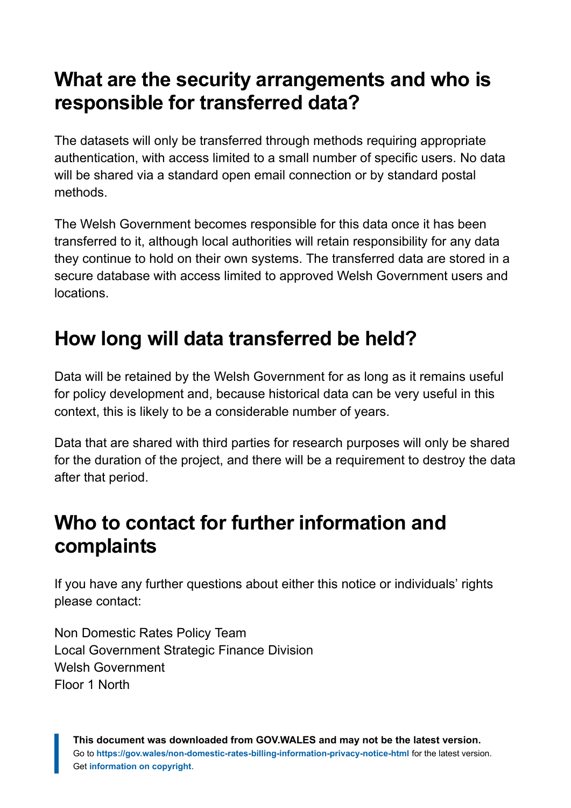#### <span id="page-5-0"></span>**What are the security arrangements and who is responsible for transferred data?**

The datasets will only be transferred through methods requiring appropriate authentication, with access limited to a small number of specific users. No data will be shared via a standard open email connection or by standard postal methods.

The Welsh Government becomes responsible for this data once it has been transferred to it, although local authorities will retain responsibility for any data they continue to hold on their own systems. The transferred data are stored in a secure database with access limited to approved Welsh Government users and locations.

## <span id="page-5-1"></span>**How long will data transferred be held?**

Data will be retained by the Welsh Government for as long as it remains useful for policy development and, because historical data can be very useful in this context, this is likely to be a considerable number of years.

Data that are shared with third parties for research purposes will only be shared for the duration of the project, and there will be a requirement to destroy the data after that period.

#### <span id="page-5-2"></span>**Who to contact for further information and complaints**

If you have any further questions about either this notice or individuals' rights please contact:

Non Domestic Rates Policy Team Local Government Strategic Finance Division Welsh Government Floor 1 North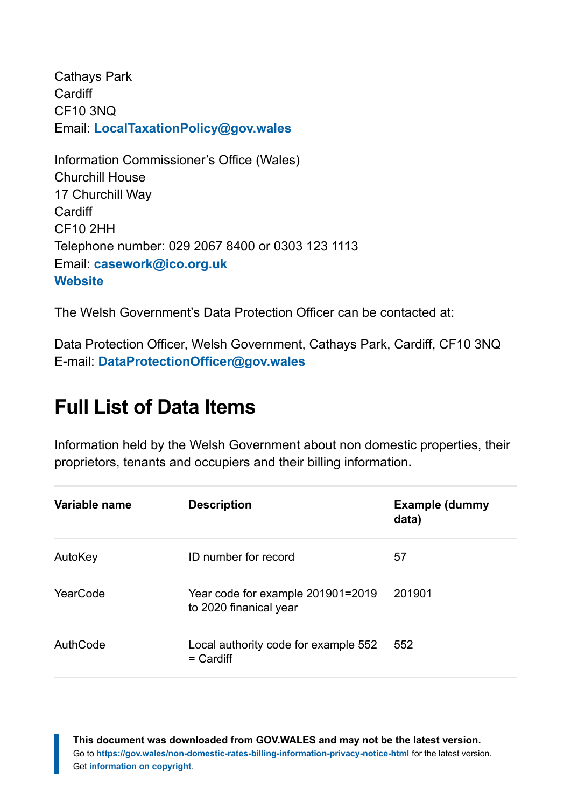Cathays Park **Cardiff** CF10 3NQ Email: **[LocalTaxationPolicy@gov.wales](https://d/Users/FulkerL/AppData/Local/Microsoft/Windows/INetCache/Content.Outlook/RGUD5X4O/LocalTaxationPolicy@gov.wales)**

Information Commissioner's Office (Wales) Churchill House 17 Churchill Way **Cardiff** CF10 2HH Telephone number: 029 2067 8400 or 0303 123 1113 Email: **[casework@ico.org.uk](mailto:casework@ico.org.uk) [Website](https://ico.org.uk/)**

The Welsh Government's Data Protection Officer can be contacted at:

Data Protection Officer, Welsh Government, Cathays Park, Cardiff, CF10 3NQ E-mail: **[DataProtectionOfficer@gov.wales](mailto:DataProtectionOfficer@gov.wales)**

#### <span id="page-6-0"></span>**Full List of Data Items**

Information held by the Welsh Government about non domestic properties, their proprietors, tenants and occupiers and their billing information**.**

| Variable name | <b>Description</b>                                          | <b>Example (dummy</b><br>data) |
|---------------|-------------------------------------------------------------|--------------------------------|
| AutoKey       | ID number for record                                        | 57                             |
| YearCode      | Year code for example 201901=2019<br>to 2020 finanical year | 201901                         |
| AuthCode      | Local authority code for example 552<br>$=$ Cardiff         | 552                            |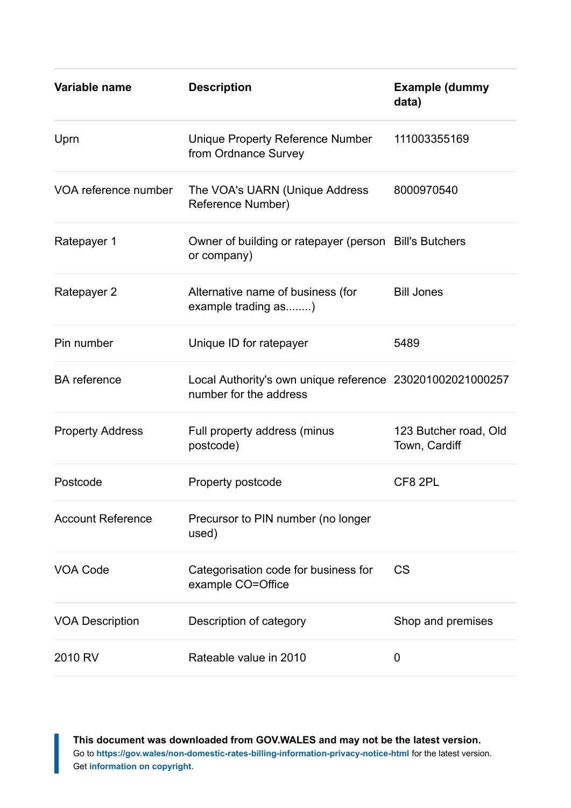| Variable name            | <b>Description</b>                                                                  | <b>Example (dummy</b><br>data)         |
|--------------------------|-------------------------------------------------------------------------------------|----------------------------------------|
| Uprn                     | Unique Property Reference Number<br>from Ordnance Survey                            | 111003355169                           |
| VOA reference number     | The VOA's UARN (Unique Address<br>Reference Number)                                 | 8000970540                             |
| Ratepayer 1              | Owner of building or ratepayer (person Bill's Butchers<br>or company)               |                                        |
| Ratepayer 2              | Alternative name of business (for<br>example trading as)                            | <b>Bill Jones</b>                      |
| Pin number               | Unique ID for ratepayer                                                             | 5489                                   |
| <b>BA</b> reference      | Local Authority's own unique reference 230201002021000257<br>number for the address |                                        |
| <b>Property Address</b>  | Full property address (minus<br>postcode)                                           | 123 Butcher road, Old<br>Town, Cardiff |
| Postcode                 | Property postcode                                                                   | CF8 2PL                                |
| <b>Account Reference</b> | Precursor to PIN number (no longer<br>used)                                         |                                        |
| <b>VOA Code</b>          | Categorisation code for business for<br>example CO=Office                           | <b>CS</b>                              |
| <b>VOA Description</b>   | Description of category                                                             | Shop and premises                      |
| 2010 RV                  | Rateable value in 2010                                                              | 0                                      |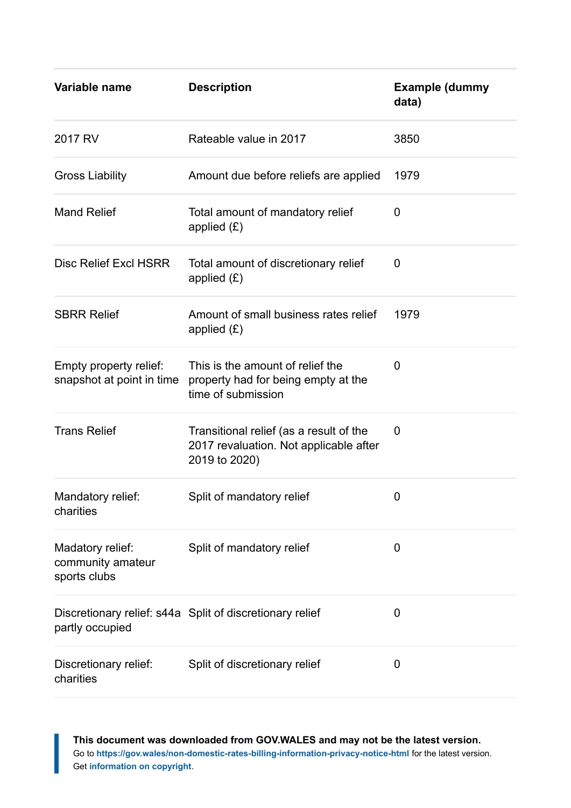| Variable name                                         | <b>Description</b>                                                                                 | <b>Example (dummy</b><br>data) |
|-------------------------------------------------------|----------------------------------------------------------------------------------------------------|--------------------------------|
| 2017 RV                                               | Rateable value in 2017                                                                             | 3850                           |
| <b>Gross Liability</b>                                | Amount due before reliefs are applied                                                              | 1979                           |
| <b>Mand Relief</b>                                    | Total amount of mandatory relief<br>applied $(E)$                                                  | 0                              |
| <b>Disc Relief Excl HSRR</b>                          | Total amount of discretionary relief<br>applied $(E)$                                              | 0                              |
| <b>SBRR Relief</b>                                    | Amount of small business rates relief<br>applied $(E)$                                             | 1979                           |
| Empty property relief:<br>snapshot at point in time   | This is the amount of relief the<br>property had for being empty at the<br>time of submission      | 0                              |
| <b>Trans Relief</b>                                   | Transitional relief (as a result of the<br>2017 revaluation. Not applicable after<br>2019 to 2020) | 0                              |
| Mandatory relief:<br>charities                        | Split of mandatory relief                                                                          | 0                              |
| Madatory relief:<br>community amateur<br>sports clubs | Split of mandatory relief                                                                          | 0                              |
| partly occupied                                       | Discretionary relief: s44a Split of discretionary relief                                           | 0                              |
| Discretionary relief:<br>charities                    | Split of discretionary relief                                                                      | 0                              |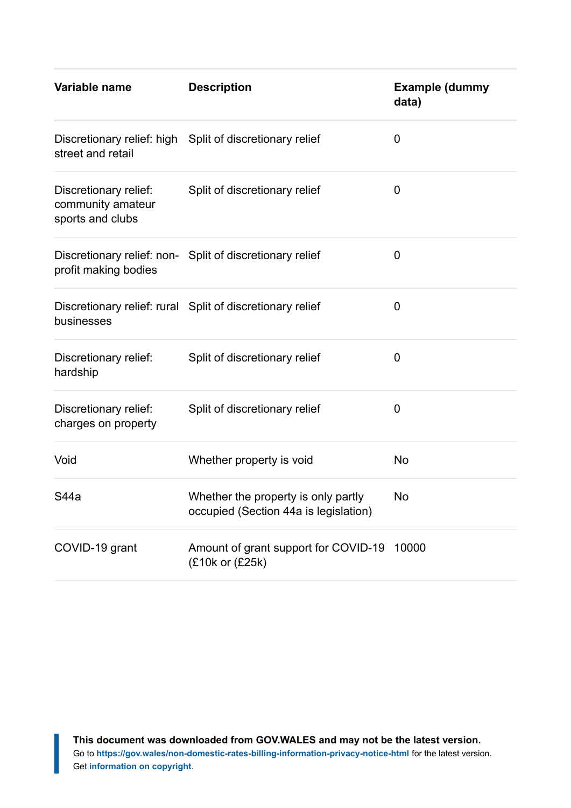| Variable name                                                  | <b>Description</b>                                                           | <b>Example (dummy</b><br>data) |
|----------------------------------------------------------------|------------------------------------------------------------------------------|--------------------------------|
| street and retail                                              | Discretionary relief: high Split of discretionary relief                     | 0                              |
| Discretionary relief:<br>community amateur<br>sports and clubs | Split of discretionary relief                                                | 0                              |
| profit making bodies                                           | Discretionary relief: non- Split of discretionary relief                     | 0                              |
| businesses                                                     | Discretionary relief: rural Split of discretionary relief                    | 0                              |
| Discretionary relief:<br>hardship                              | Split of discretionary relief                                                | 0                              |
| Discretionary relief:<br>charges on property                   | Split of discretionary relief                                                | $\overline{0}$                 |
| Void                                                           | Whether property is void                                                     | <b>No</b>                      |
| S44a                                                           | Whether the property is only partly<br>occupied (Section 44a is legislation) | No                             |
| COVID-19 grant                                                 | Amount of grant support for COVID-19<br>(£10k or (£25k)                      | 10000                          |